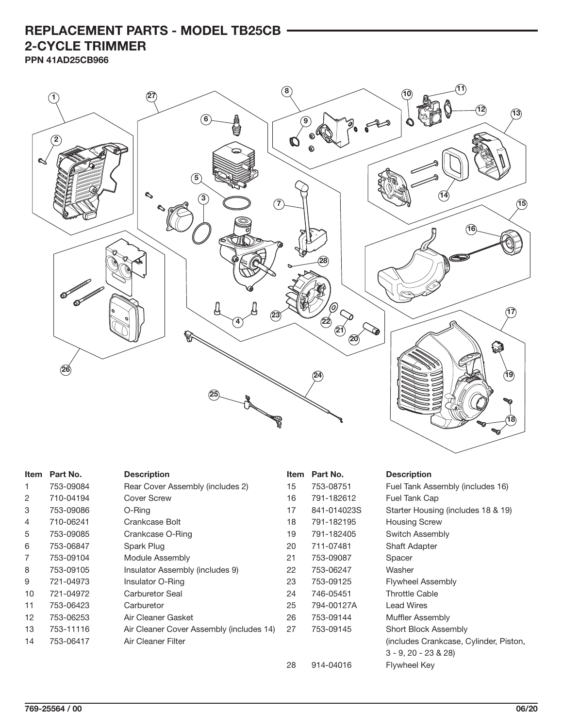## **REPLACEMENT PARTS - MODEL TB25CB 2-CYCLE TRIMMER**

**PPN 41AD25CB966**



| <b>Item</b> | Part No.  | <b>Description</b>                       | Item | Part No.    | <b>Description</b>                     |
|-------------|-----------|------------------------------------------|------|-------------|----------------------------------------|
| 1           | 753-09084 | Rear Cover Assembly (includes 2)         | 15   | 753-08751   | Fuel Tank Assembly (includes 16)       |
| 2           | 710-04194 | <b>Cover Screw</b>                       | 16   | 791-182612  | Fuel Tank Cap                          |
| 3           | 753-09086 | O-Ring                                   | 17   | 841-014023S | Starter Housing (includes 18 & 19)     |
| 4           | 710-06241 | Crankcase Bolt                           | 18   | 791-182195  | <b>Housing Screw</b>                   |
| 5           | 753-09085 | Crankcase O-Ring                         | 19   | 791-182405  | Switch Assembly                        |
| 6           | 753-06847 | Spark Plug                               | 20   | 711-07481   | <b>Shaft Adapter</b>                   |
| 7           | 753-09104 | Module Assembly                          | 21   | 753-09087   | Spacer                                 |
| 8           | 753-09105 | Insulator Assembly (includes 9)          | 22   | 753-06247   | Washer                                 |
| 9           | 721-04973 | Insulator O-Ring                         | 23   | 753-09125   | <b>Flywheel Assembly</b>               |
| 10          | 721-04972 | Carburetor Seal                          | 24   | 746-05451   | <b>Throttle Cable</b>                  |
| 11          | 753-06423 | Carburetor                               | 25   | 794-00127A  | <b>Lead Wires</b>                      |
| 12          | 753-06253 | Air Cleaner Gasket                       | 26   | 753-09144   | Muffler Assembly                       |
| 13          | 753-11116 | Air Cleaner Cover Assembly (includes 14) | 27   | 753-09145   | Short Block Assembly                   |
| 14          | 753-06417 | Air Cleaner Filter                       |      |             | (includes Crankcase, Cylinder, Piston, |
|             |           |                                          |      |             | $3 - 9$ , $20 - 23$ & $28$ )           |
|             |           |                                          | 28   | 914-04016   | Flywheel Key                           |